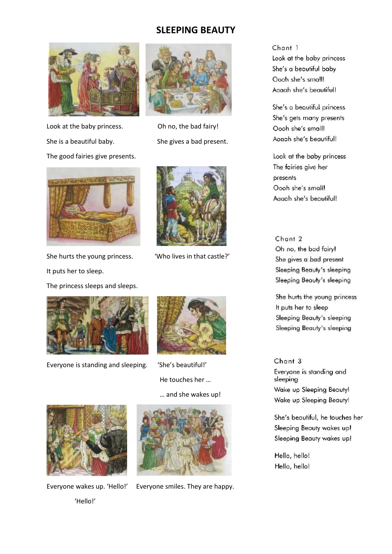# **SLEEPING BEAUTY**





Look at the baby princess. Oh no, the bad fairy! She is a beautiful baby. She gives a bad present. The good fairies give presents.



She hurts the young princess. "Who lives in that castle?' It puts her to sleep. The princess sleeps and sleeps.



Everyone is standing and sleeping. 'She's beautiful!'





 He touches her … … and she wakes up!



'Hello!'



Everyone wakes up. 'Hello!' Everyone smiles. They are happy.

Chant 1 Look at the baby princess She's a beautiful baby Oooh she's small! Agaah she's beautiful!

She's a beautiful princess She's gets many presents Oooh she's small! Aggah she's beautiful!

Look at the baby princess The fairies give her presents Oooh she's small! Aaaah she's beautiful!

Chant 2 Oh no, the bad fairy! She gives a bad present Sleeping Beauty's sleeping Sleeping Beauty's sleeping

She hurts the young princess It puts her to sleep Sleeping Beauty's sleeping Sleeping Beauty's sleeping

Chant 3 Everyone is standing and sleeping Wake up Sleeping Beauty! Wake up Sleeping Beauty!

She's beautiful, he touches her Sleeping Beauty wakes up! Sleeping Beauty wakes up!

Hello, hello! Hello, hello!